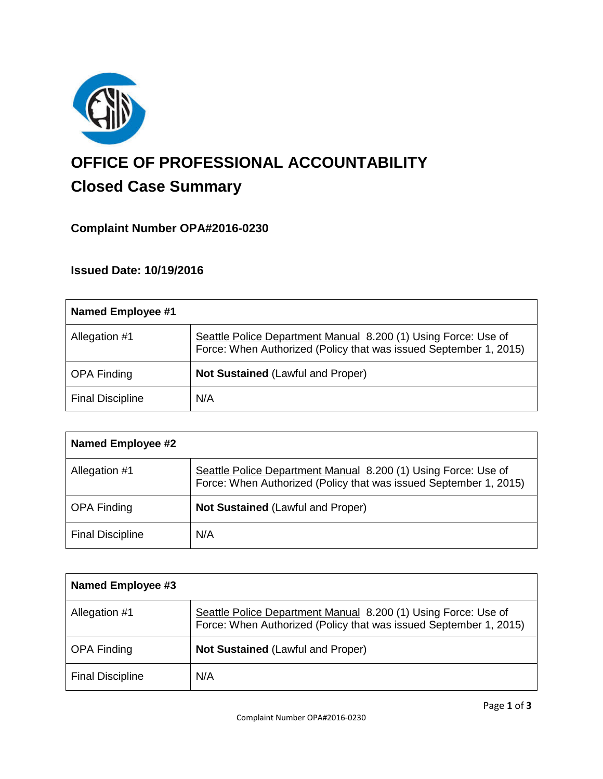

# **OFFICE OF PROFESSIONAL ACCOUNTABILITY Closed Case Summary**

## **Complaint Number OPA#2016-0230**

## **Issued Date: 10/19/2016**

| Named Employee #1       |                                                                                                                                     |
|-------------------------|-------------------------------------------------------------------------------------------------------------------------------------|
| Allegation #1           | Seattle Police Department Manual 8.200 (1) Using Force: Use of<br>Force: When Authorized (Policy that was issued September 1, 2015) |
| <b>OPA Finding</b>      | <b>Not Sustained (Lawful and Proper)</b>                                                                                            |
| <b>Final Discipline</b> | N/A                                                                                                                                 |

| <b>Named Employee #2</b> |                                                                                                                                     |
|--------------------------|-------------------------------------------------------------------------------------------------------------------------------------|
| Allegation #1            | Seattle Police Department Manual 8.200 (1) Using Force: Use of<br>Force: When Authorized (Policy that was issued September 1, 2015) |
| <b>OPA Finding</b>       | <b>Not Sustained (Lawful and Proper)</b>                                                                                            |
| <b>Final Discipline</b>  | N/A                                                                                                                                 |

| Named Employee #3       |                                                                                                                                     |
|-------------------------|-------------------------------------------------------------------------------------------------------------------------------------|
| Allegation #1           | Seattle Police Department Manual 8.200 (1) Using Force: Use of<br>Force: When Authorized (Policy that was issued September 1, 2015) |
| <b>OPA Finding</b>      | <b>Not Sustained (Lawful and Proper)</b>                                                                                            |
| <b>Final Discipline</b> | N/A                                                                                                                                 |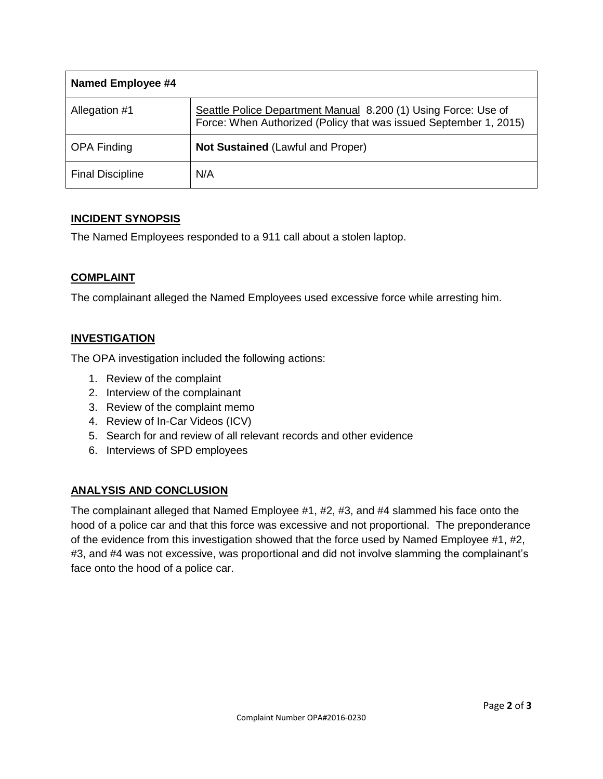| <b>Named Employee #4</b> |                                                                                                                                     |
|--------------------------|-------------------------------------------------------------------------------------------------------------------------------------|
| Allegation #1            | Seattle Police Department Manual 8.200 (1) Using Force: Use of<br>Force: When Authorized (Policy that was issued September 1, 2015) |
| <b>OPA Finding</b>       | <b>Not Sustained (Lawful and Proper)</b>                                                                                            |
| <b>Final Discipline</b>  | N/A                                                                                                                                 |

#### **INCIDENT SYNOPSIS**

The Named Employees responded to a 911 call about a stolen laptop.

#### **COMPLAINT**

The complainant alleged the Named Employees used excessive force while arresting him.

## **INVESTIGATION**

The OPA investigation included the following actions:

- 1. Review of the complaint
- 2. Interview of the complainant
- 3. Review of the complaint memo
- 4. Review of In-Car Videos (ICV)
- 5. Search for and review of all relevant records and other evidence
- 6. Interviews of SPD employees

#### **ANALYSIS AND CONCLUSION**

The complainant alleged that Named Employee #1, #2, #3, and #4 slammed his face onto the hood of a police car and that this force was excessive and not proportional. The preponderance of the evidence from this investigation showed that the force used by Named Employee #1, #2, #3, and #4 was not excessive, was proportional and did not involve slamming the complainant's face onto the hood of a police car.